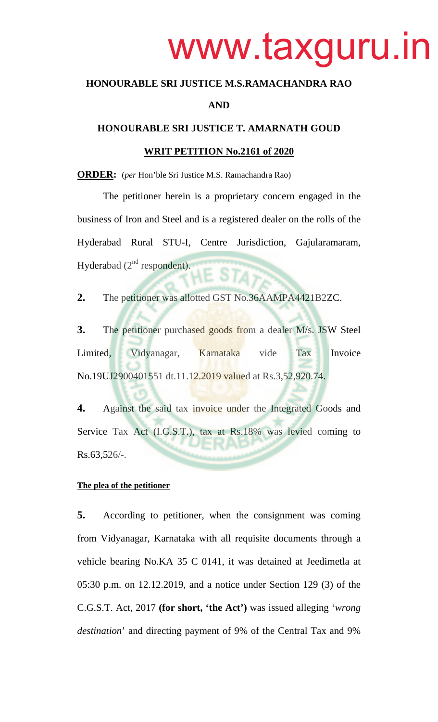# www.taxguru.in

# **HONOURABLE SRI JUSTICE M.S.RAMACHANDRA RAO**

# **AND**

## **HONOURABLE SRI JUSTICE T. AMARNATH GOUD**

#### **WRIT PETITION No.2161 of 2020**

**ORDER:** (*per* Hon'ble Sri Justice M.S. Ramachandra Rao)

The petitioner herein is a proprietary concern engaged in the business of Iron and Steel and is a registered dealer on the rolls of the Hyderabad Rural STU-I, Centre Jurisdiction, Gajularamaram, Hyderabad  $(2<sup>nd</sup>$  respondent).

**2.** The petitioner was allotted GST No.36AAMPA4421B2ZC.

**3.** The petitioner purchased goods from a dealer M/s. JSW Steel Limited, Vidyanagar, Karnataka vide Tax Invoice No.19UJ2900401551 dt.11.12.2019 valued at Rs.3,52,920.74.

**4.** Against the said tax invoice under the Integrated Goods and Service Tax Act (I.G.S.T.), tax at Rs.18% was levied coming to  $Rs.63,526/-.$ 

#### **The plea of the petitioner**

**5.** According to petitioner, when the consignment was coming from Vidyanagar, Karnataka with all requisite documents through a vehicle bearing No.KA 35 C 0141, it was detained at Jeedimetla at 05:30 p.m. on 12.12.2019, and a notice under Section 129 (3) of the C.G.S.T. Act, 2017 **(for short, 'the Act')** was issued alleging '*wrong destination*' and directing payment of 9% of the Central Tax and 9%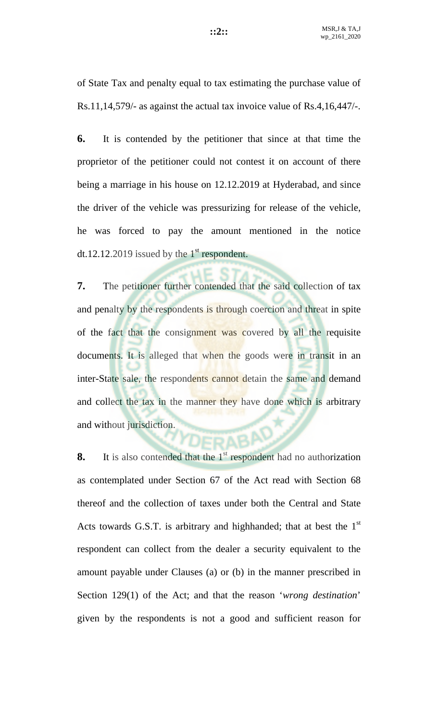of State Tax and penalty equal to tax estimating the purchase value of Rs.11,14,579/- as against the actual tax invoice value of Rs.4,16,447/-.

**6.** It is contended by the petitioner that since at that time the proprietor of the petitioner could not contest it on account of there being a marriage in his house on 12.12.2019 at Hyderabad, and since the driver of the vehicle was pressurizing for release of the vehicle, he was forced to pay the amount mentioned in the notice dt.12.12.2019 issued by the  $1<sup>st</sup>$  respondent.

**7.** The petitioner further contended that the said collection of tax and penalty by the respondents is through coercion and threat in spite of the fact that the consignment was covered by all the requisite documents. It is alleged that when the goods were in transit in an inter-State sale, the respondents cannot detain the same and demand and collect the tax in the manner they have done which is arbitrary and without jurisdiction.

**8.** It is also contended that the 1<sup>st</sup> respondent had no authorization as contemplated under Section 67 of the Act read with Section 68 thereof and the collection of taxes under both the Central and State Acts towards G.S.T. is arbitrary and highhanded; that at best the  $1<sup>st</sup>$ respondent can collect from the dealer a security equivalent to the amount payable under Clauses (a) or (b) in the manner prescribed in Section 129(1) of the Act; and that the reason '*wrong destination*' given by the respondents is not a good and sufficient reason for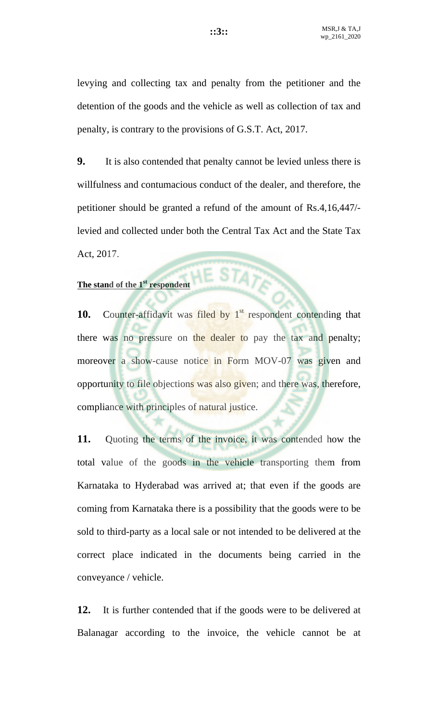levying and collecting tax and penalty from the petitioner and the detention of the goods and the vehicle as well as collection of tax and penalty, is contrary to the provisions of G.S.T. Act, 2017.

**9.** It is also contended that penalty cannot be levied unless there is willfulness and contumacious conduct of the dealer, and therefore, the petitioner should be granted a refund of the amount of Rs.4,16,447/ levied and collected under both the Central Tax Act and the State Tax Act, 2017.

# The stand of the 1<sup>st</sup> respondent

**10.** Counter-affidavit was filed by 1<sup>st</sup> respondent contending that there was no pressure on the dealer to pay the tax and penalty; moreover a show-cause notice in Form MOV-07 was given and opportunity to file objections was also given; and there was, therefore, compliance with principles of natural justice.

**11.** Quoting the terms of the invoice, it was contended how the total value of the goods in the vehicle transporting them from Karnataka to Hyderabad was arrived at; that even if the goods are coming from Karnataka there is a possibility that the goods were to be sold to third-party as a local sale or not intended to be delivered at the correct place indicated in the documents being carried in the conveyance / vehicle.

**12.** It is further contended that if the goods were to be delivered at Balanagar according to the invoice, the vehicle cannot be at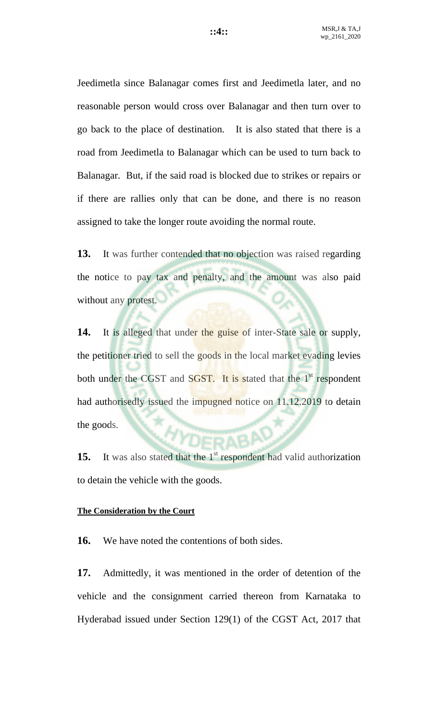Jeedimetla since Balanagar comes first and Jeedimetla later, and no reasonable person would cross over Balanagar and then turn over to go back to the place of destination. It is also stated that there is a road from Jeedimetla to Balanagar which can be used to turn back to Balanagar. But, if the said road is blocked due to strikes or repairs or if there are rallies only that can be done, and there is no reason assigned to take the longer route avoiding the normal route.

**13.** It was further contended that no objection was raised regarding the notice to pay tax and penalty, and the amount was also paid without any protest.

14. It is alleged that under the guise of inter-State sale or supply, the petitioner tried to sell the goods in the local market evading levies both under the CGST and SGST. It is stated that the 1<sup>st</sup> respondent had authorisedly issued the impugned notice on 11.12.2019 to detain the goods.

**15.** It was also stated that the 1<sup>st</sup> respondent had valid authorization to detain the vehicle with the goods.

## **The Consideration by the Court**

**16.** We have noted the contentions of both sides.

**17.** Admittedly, it was mentioned in the order of detention of the vehicle and the consignment carried thereon from Karnataka to Hyderabad issued under Section 129(1) of the CGST Act, 2017 that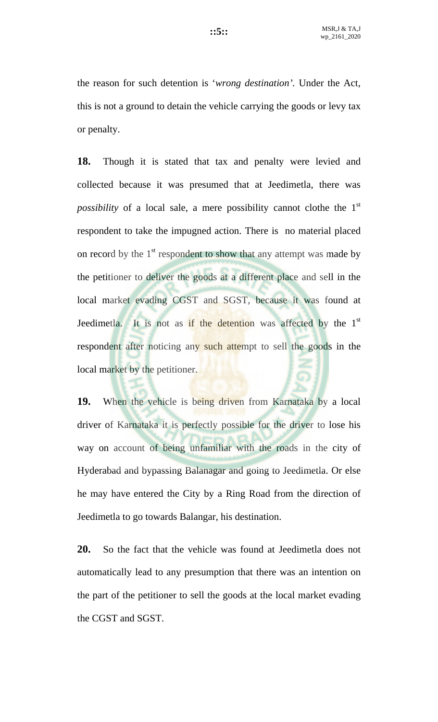the reason for such detention is '*wrong destination'.* Under the Act, this is not a ground to detain the vehicle carrying the goods or levy tax or penalty.

**18.** Though it is stated that tax and penalty were levied and collected because it was presumed that at Jeedimetla, there was *possibility* of a local sale, a mere possibility cannot clothe the 1<sup>st</sup> respondent to take the impugned action. There is no material placed on record by the  $1<sup>st</sup>$  respondent to show that any attempt was made by the petitioner to deliver the goods at a different place and sell in the local market evading CGST and SGST, because it was found at Jeedimetla. It is not as if the detention was affected by the 1<sup>st</sup> respondent after noticing any such attempt to sell the goods in the local market by the petitioner.

**19.** When the vehicle is being driven from Karnataka by a local driver of Karnataka it is perfectly possible for the driver to lose his way on account of being unfamiliar with the roads in the city of Hyderabad and bypassing Balanagar and going to Jeedimetla. Or else he may have entered the City by a Ring Road from the direction of Jeedimetla to go towards Balangar, his destination.

**20.** So the fact that the vehicle was found at Jeedimetla does not automatically lead to any presumption that there was an intention on the part of the petitioner to sell the goods at the local market evading the CGST and SGST.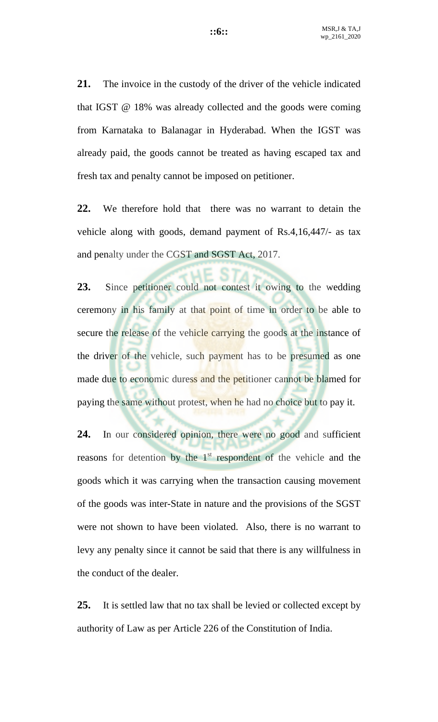**21.** The invoice in the custody of the driver of the vehicle indicated that IGST @ 18% was already collected and the goods were coming from Karnataka to Balanagar in Hyderabad. When the IGST was already paid, the goods cannot be treated as having escaped tax and fresh tax and penalty cannot be imposed on petitioner.

**22.** We therefore hold that there was no warrant to detain the vehicle along with goods, demand payment of Rs.4,16,447/- as tax and penalty under the CGST and SGST Act, 2017.

**23.** Since petitioner could not contest it owing to the wedding ceremony in his family at that point of time in order to be able to secure the release of the vehicle carrying the goods at the instance of the driver of the vehicle, such payment has to be presumed as one made due to economic duress and the petitioner cannot be blamed for paying the same without protest, when he had no choice but to pay it.

**24.** In our considered opinion, there were no good and sufficient reasons for detention by the  $1<sup>st</sup>$  respondent of the vehicle and the goods which it was carrying when the transaction causing movement of the goods was inter-State in nature and the provisions of the SGST were not shown to have been violated. Also, there is no warrant to levy any penalty since it cannot be said that there is any willfulness in the conduct of the dealer.

**25.** It is settled law that no tax shall be levied or collected except by authority of Law as per Article 226 of the Constitution of India.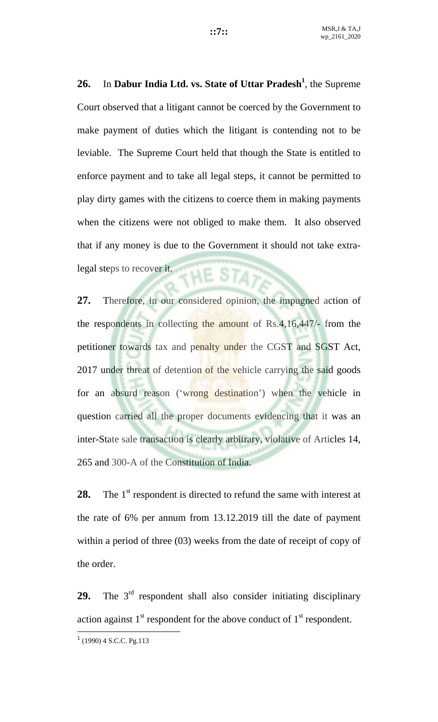**26.** In **Dabur India Ltd. vs. State of Uttar Pradesh<sup>1</sup>** , the Supreme Court observed that a litigant cannot be coerced by the Government to make payment of duties which the litigant is contending not to be leviable. The Supreme Court held that though the State is entitled to enforce payment and to take all legal steps, it cannot be permitted to play dirty games with the citizens to coerce them in making payments when the citizens were not obliged to make them. It also observed that if any money is due to the Government it should not take extralegal steps to recover it. **HE STAY** 

**27.** Therefore, in our considered opinion, the impugned action of the respondents in collecting the amount of Rs.4,16,447/- from the petitioner towards tax and penalty under the CGST and SGST Act, 2017 under threat of detention of the vehicle carrying the said goods for an absurd reason ('wrong destination') when the vehicle in question carried all the proper documents evidencing that it was an inter-State sale transaction is clearly arbitrary, violative of Articles 14, 265 and 300-A of the Constitution of India.

**28.** The 1<sup>st</sup> respondent is directed to refund the same with interest at the rate of 6% per annum from 13.12.2019 till the date of payment within a period of three (03) weeks from the date of receipt of copy of the order.

29. The 3<sup>rd</sup> respondent shall also consider initiating disciplinary action against  $1<sup>st</sup>$  respondent for the above conduct of  $1<sup>st</sup>$  respondent.

 $\overline{a}$ 

 $1$  (1990) 4 S.C.C. Pg.113